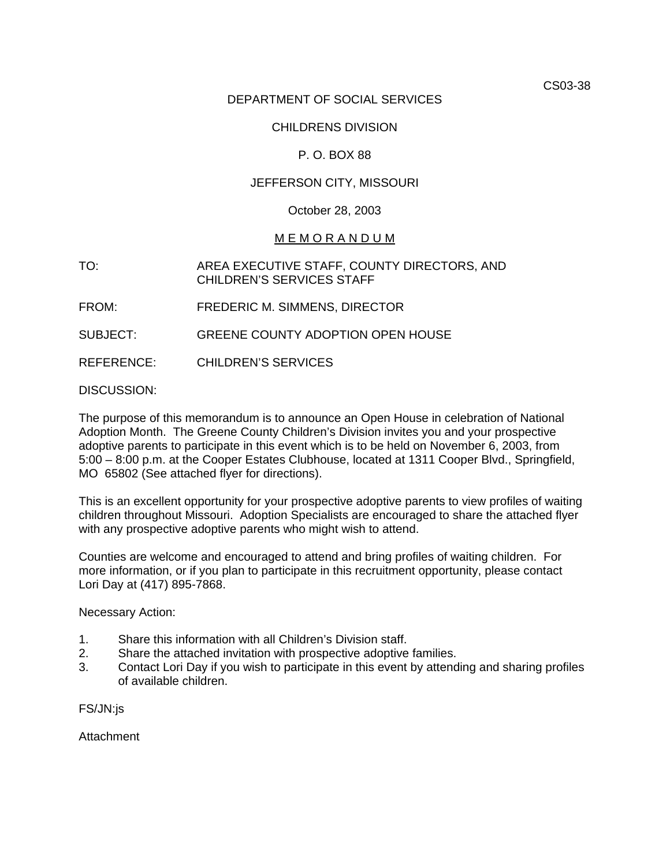CS03-38

# DEPARTMENT OF SOCIAL SERVICES

## CHILDRENS DIVISION

# P. O. BOX 88

## JEFFERSON CITY, MISSOURI

#### October 28, 2003

#### M E M O R A N D U M

- TO: AREA EXECUTIVE STAFF, COUNTY DIRECTORS, AND CHILDREN'S SERVICES STAFF
- FROM: FREDERIC M. SIMMENS, DIRECTOR
- SUBJECT: GREENE COUNTY ADOPTION OPEN HOUSE
- REFERENCE: CHILDREN'S SERVICES

#### DISCUSSION:

The purpose of this memorandum is to announce an Open House in celebration of National Adoption Month. The Greene County Children's Division invites you and your prospective adoptive parents to participate in this event which is to be held on November 6, 2003, from 5:00 – 8:00 p.m. at the [Cooper Estates Clubhouse, located at 1311 Cooper Blvd., Springfield,](http://maps.yahoo.com/maps_result?ed=5Tl1d.p_0Top13Zsykz0odGG1kB8rpzKq48oEfadERJ06Nl0&csz=Springfield,+MO++65802&country=us)  [MO 65802](http://maps.yahoo.com/maps_result?ed=5Tl1d.p_0Top13Zsykz0odGG1kB8rpzKq48oEfadERJ06Nl0&csz=Springfield,+MO++65802&country=us) (See attached flyer for directions).

This is an excellent opportunity for your prospective adoptive parents to view profiles of waiting children throughout Missouri. Adoption Specialists are encouraged to share the attached flyer with any prospective adoptive parents who might wish to attend.

Counties are welcome and encouraged to attend and bring profiles of waiting children. For more information, or if you plan to participate in this recruitment opportunity, please contact Lori Day at (417) 895-7868.

#### Necessary Action:

- 1. Share this information with all Children's Division staff.
- 2. Share the attached invitation with prospective adoptive families.
- 3. Contact Lori Day if you wish to participate in this event by attending and sharing profiles of available children.

FS/JN:js

**Attachment**